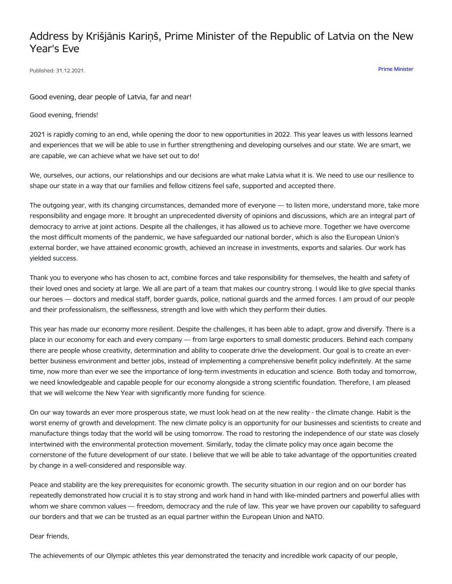## Address by Krišjānis Kariņš, Prime Minister of the Republic of Latvia on the New Year's Eve

Published: 31.12.2021. Prime [Minister](https://www.mk.gov.lv/en/articles?category%255B146%255D=146)

Good evening, dear people of Latvia, far and near!

Good evening, friends!

2021 is rapidly coming to an end, while opening the door to new opportunities in 2022. This year leaves us with lessons learned and experiences that we will be able to use in further strengthening and developing ourselves and our state. We are smart, we are capable, we can achieve what we have set out to do!

We, ourselves, our actions, our relationships and our decisions are what make Latvia what it is. We need to use our resilience to shape our state in a way that our families and fellow citizens feel safe, supported and accepted there.

The outgoing year, with its changing circumstances, demanded more of everyone — to listen more, understand more, take more responsibility and engage more. It brought an unprecedented diversity of opinions and discussions, which are an integral part of democracy to arrive at joint actions. Despite all the challenges, it has allowed us to achieve more. Together we have overcome the most difficult moments of the pandemic, we have safeguarded our national border, which is also the European Union's external border, we have attained economic growth, achieved an increase in investments, exports and salaries. Our work has yielded success.

Thank you to everyone who has chosen to act, combine forces and take responsibility for themselves, the health and safety of their loved ones and society at large. We all are part of a team that makes our country strong. I would like to give special thanks our heroes — doctors and medical staff, border guards, police, national guards and the armed forces. I am proud of our people and their professionalism, the selflessness, strength and love with which they perform their duties.

This year has made our economy more resilient. Despite the challenges, it has been able to adapt, grow and diversify. There is a place in our economy for each and every company — from large exporters to small domestic producers. Behind each company there are people whose creativity, determination and ability to cooperate drive the development. Our goal is to create an everbetter business environment and better jobs, instead of implementing a comprehensive benefit policy indefinitely. At the same time, now more than ever we see the importance of long-term investments in education and science. Both today and tomorrow, we need knowledgeable and capable people for our economy alongside a strong scientific foundation. Therefore, I am pleased that we will welcome the New Year with significantly more funding for science.

On our way towards an ever more prosperous state, we must look head on at the new reality - the climate change. Habit is the worst enemy of growth and development. The new climate policy is an opportunity for our businesses and scientists to create and manufacture things today that the world will be using tomorrow. The road to restoring the independence of our state was closely intertwined with the environmental protection movement. Similarly, today the climate policy may once again become the cornerstone of the future development of our state. I believe that we will be able to take advantage of the opportunities created by change in a well-considered and responsible way.

Peace and stability are the key prerequisites for economic growth. The security situation in our region and on our border has repeatedly demonstrated how crucial it is to stay strong and work hand in hand with like-minded partners and powerful allies with whom we share common values — freedom, democracy and the rule of law. This year we have proven our capability to safeguard our borders and that we can be trusted as an equal partner within the European Union and NATO.

Dear friends,

The achievements of our Olympic athletes this year demonstrated the tenacity and incredible work capacity of our people,